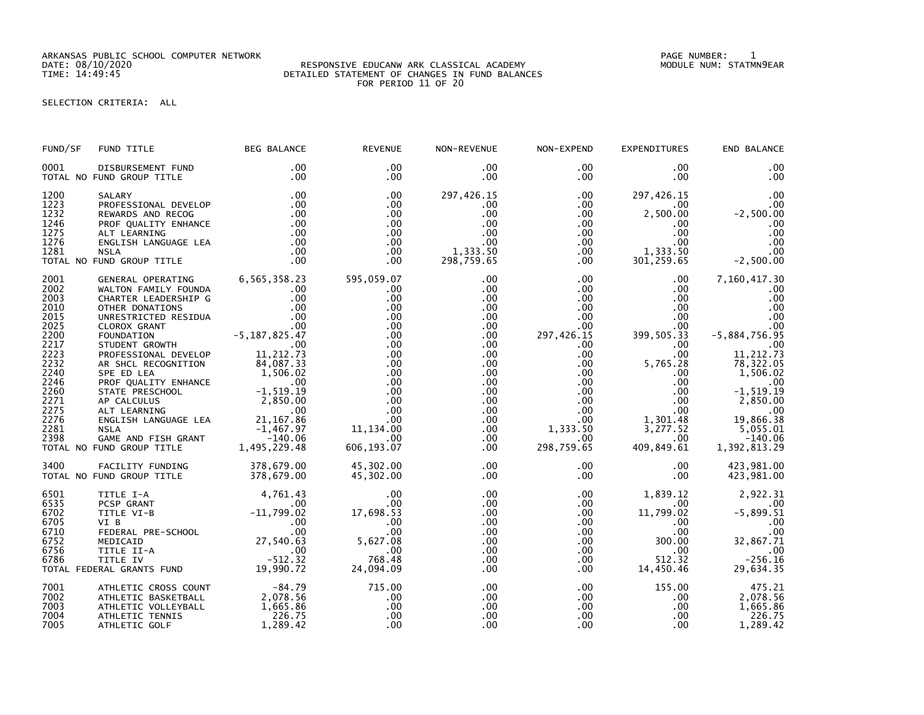ARKANSAS PUBLIC SCHOOL COMPUTER NETWORK PAGE NUMBER: 1

## DATE: 08/10/2020 RESPONSIVE EDUCANW ARK CLASSICAL ACADEMY MODULE NUM: STATMN9EAR TIME: 14:49:45 DETAILED STATEMENT OF CHANGES IN FUND BALANCES FOR PERIOD 11 OF 20

SELECTION CRITERIA: ALL

| FUND/SF<br>FUND TITLE                                                                                                                                                                                                                                                                                                                                                                                                                                                                                                                                                                                                                                                                                          | <b>BEG BALANCE</b>                                                                               | <b>REVENUE</b>                                                                                                                                                  | NON-REVENUE                                                                                                                                                                                             | NON-EXPEND                                                                                                                                                                                          | <b>EXPENDITURES</b>                                                                                                                                                                                                                  | END BALANCE                                                                                                                                                                                                             |
|----------------------------------------------------------------------------------------------------------------------------------------------------------------------------------------------------------------------------------------------------------------------------------------------------------------------------------------------------------------------------------------------------------------------------------------------------------------------------------------------------------------------------------------------------------------------------------------------------------------------------------------------------------------------------------------------------------------|--------------------------------------------------------------------------------------------------|-----------------------------------------------------------------------------------------------------------------------------------------------------------------|---------------------------------------------------------------------------------------------------------------------------------------------------------------------------------------------------------|-----------------------------------------------------------------------------------------------------------------------------------------------------------------------------------------------------|--------------------------------------------------------------------------------------------------------------------------------------------------------------------------------------------------------------------------------------|-------------------------------------------------------------------------------------------------------------------------------------------------------------------------------------------------------------------------|
| 0001<br>DISBURSEMENT FUND<br>TOTAL NO FUND GROUP TITLE                                                                                                                                                                                                                                                                                                                                                                                                                                                                                                                                                                                                                                                         | .00<br>.00                                                                                       | .00<br>$.00 \,$                                                                                                                                                 | $.00 \,$<br>.00                                                                                                                                                                                         | $.00 \,$<br>$.00 \,$                                                                                                                                                                                | $.00 \,$<br>.00                                                                                                                                                                                                                      | .00<br>.00                                                                                                                                                                                                              |
| 1200<br>SALARY<br>1223<br>PROFESSIONAL DEVELOP<br>1232<br>REWARDS AND RECOG<br>REWARDS AND RECOG<br>PROF QUALITY ENHANCE .00<br>ALT LEARNING .00<br>ENGLISH LANGUAGE LEA .00<br>NSLA .00<br>NSLA<br>1246<br>1275<br>1276<br>1281<br><b>NSLA</b><br>TOTAL NO FUND GROUP TITLE                                                                                                                                                                                                                                                                                                                                                                                                                                   | .00<br>.00<br>.00<br>.00<br>.00                                                                  | .00<br>.00<br>.00<br>.00<br>.00<br>.00<br>$.00 \,$<br>.00                                                                                                       | 297,426.15<br>$.00 \,$<br>.00<br>.00<br>$.00 \,$<br>.00<br>1,333.50<br>298,759.65                                                                                                                       | $.00 \,$<br>$.00 \,$<br>$.00 \,$<br>$.00\,$<br>.00<br>.00<br>$.00 \,$<br>.00                                                                                                                        | 297,426.15<br>$.00 \,$<br>2,500.00<br>$.00 \,$<br>$.00 \,$<br>.00 <sub>1</sub><br>1,333.50<br>301, 259.65                                                                                                                            | .00<br>.00<br>$-2,500.00$<br>.00<br>.00<br>.00<br>.00<br>$-2,500.00$                                                                                                                                                    |
| 2001<br>GENERAL OPERATING 6,565,358.23<br>2002<br>WALTON FAMILY FOUNDA<br>2003<br>CHARTER LEADERSHIP G<br>2010<br>OTHER DONATIONS<br>2015<br>UNRESTRICTED RESIDUA<br>CLOROX GRANT .00<br>FOUNDATION -5,187,825.47<br>STUDENT GROWTH .00<br>2025<br>2200<br>2217<br>2223<br>PROFESSIONAL DEVELOP<br>2232<br>AR SHCL RECOGNITION<br>2240<br>SPE ED LEA<br>2246<br>SPE ED LEA<br>PROF QUALITY ENHANCE<br>STATE PRESCHOOL<br>AP CALCULUS<br>ALT LEARNING<br>ALT LEARNING<br>ENGLISH LANGUAGE LEA<br>$\begin{array}{c} 0.90 \\ 2,850.00 \\ -1,519.19 \\ 2,850.00 \\ 0.00 \\ -1,467.97 \\ -1,400.96 \end{array}$<br>2260<br>2271<br>2275<br>2276<br>2281<br>2398<br>GAME AND FISH GRANT<br>TOTAL NO FUND GROUP TITLE | .00<br>.00<br>.00<br>11, 212.73<br>84,087.33<br>1,506.02<br>140.06 - NT<br>1,495,229.48 - 140.06 | 595,059.07<br>.00<br>.00<br>.00<br>.00<br>.00<br>.00<br>.00<br>.00<br>.00<br>.00<br>.00<br>.00<br>.00<br>.00<br>.00.<br>11,134.00<br>$.00 \times$<br>606,193.07 | $.00 \,$<br>.00<br>.00<br>$.00 \,$<br>.00<br>.00<br>$.00 \,$<br>$.00 \,$<br>$.00 \,$<br>$.00 \,$<br>$.00 \,$<br>$.00 \,$<br>$.00 \,$<br>$.00 \,$<br>.00<br>$.00 \,$<br>$.00 \,$<br>$.00 \,$<br>$.00 \,$ | $.00 \,$<br>$.00\,$<br>$.00\,$<br>$.00\,$<br>.00<br>$.00 \,$<br>297,426.15<br>$.00 \,$<br>$.00 \,$<br>$.00 \ \,$<br>$.00\,$<br>.00<br>.00<br>.00<br>$.00\,$<br>.00<br>1,333.50<br>.00<br>298,759.65 | $.00 \,$<br>.00<br>$.00 \,$<br>$.00 \,$<br>$.00 \,$<br>.00<br>399,505.33<br>$.00 \cdot$<br>$.00 \,$<br>5,765.28<br>$.00 \,$<br>$.00\,$<br>$.00\,$<br>$.00\,$<br>.00<br>1,301.48<br>$\overline{3}$ , 277.52<br>$.00 \,$<br>409,849.61 | 7,160,417.30<br>.00<br>.00<br>$\overline{00}$<br>.00<br>.00<br>$-5,884,756.95$<br>.00<br>11,212.73<br>78,322.05<br>1,506.02<br>$-1, 519.19$<br>2,850.00<br>$00$ .<br>19,866.38<br>5,055.01<br>$-140.06$<br>1,392,813.29 |
| FACILITY FUNDING 378,679.00<br>3400<br>TOTAL NO FUND GROUP TITLE                                                                                                                                                                                                                                                                                                                                                                                                                                                                                                                                                                                                                                               | 378,679.00                                                                                       | 45,302.00<br>45,302.00                                                                                                                                          | $.00 \,$<br>.00                                                                                                                                                                                         | $.00 \,$<br>$.00 \ \,$                                                                                                                                                                              | $.00 \,$<br>$.00 \,$                                                                                                                                                                                                                 | 423,981.00<br>423,981.00                                                                                                                                                                                                |
| 6501<br>TITLE I-A<br>6535<br>PCSP GRANT<br>00<br>TITLE VI-B<br>VI B<br>VI B<br>VI B<br>VEDERAL PRE-SCHOOL 00<br>FEDERAL PRE-SCHOOL 00<br>MEDICAID 27,540.63<br>TITLE II-A 00<br>TITLE IV -512.32<br>FRAL GRANTS FUND 19,990.72<br>6702<br>6705<br>6710<br>6752<br>6756<br>6786<br>TOTAL FEDERAL GRANTS FUND                                                                                                                                                                                                                                                                                                                                                                                                    | 4,761.43<br>$.00 \,$                                                                             | .00<br>.00<br>17,698.53<br>.00<br>.00<br>5,627.08<br>$\overline{\phantom{0}}$ .00<br>768.48<br>24,094.09                                                        | $.00 \,$<br>$.00 \,$<br>.00<br>$.00 \,$<br>$.00 \,$<br>.00<br>.00<br>$.00 \,$<br>.00                                                                                                                    | $.00 \,$<br>$.00 \cdot$<br>.00<br>$.00 \cdot$<br>$.00 \,$<br>$.00 \ \,$<br>$.00\,$<br>.00<br>.00                                                                                                    | 1,839.12<br>.00<br>11,799.02<br>$.00 \,$<br>$.00 \,$<br>300.00<br>$.00 \,$<br>512.32<br>14,450.46                                                                                                                                    | 2,922.31<br>.00<br>$-5,899.51$<br>.00<br>.00<br>32,867.71<br>$-256.16$<br>29,634.35                                                                                                                                     |
| 7001<br>ATHLETIC CROSS COUNT<br>7002<br>ATHLETIC BASKETBALL<br>7003<br>ATHLETIC VOLLEYBALL<br>7004<br>ATHLETIC TENNIS<br>7005<br>ATHLETIC GOLF                                                                                                                                                                                                                                                                                                                                                                                                                                                                                                                                                                 | $-84.79$<br>2,078.56<br>1,665.86<br>226.75<br>1,289.42                                           | 715.00<br>.00<br>.00<br>.00<br>.00                                                                                                                              | $.00 \,$<br>$.00 \,$<br>$.00 \,$<br>.00<br>.00                                                                                                                                                          | .00<br>.00<br>.00 <sub>1</sub><br>$.00 \,$<br>.00                                                                                                                                                   | 155.00<br>$.00 \,$<br>$.00 \,$<br>$.00 \,$<br>$.00 \,$                                                                                                                                                                               | 475.21<br>2,078.56<br>1,665.86<br>226.75<br>1,289.42                                                                                                                                                                    |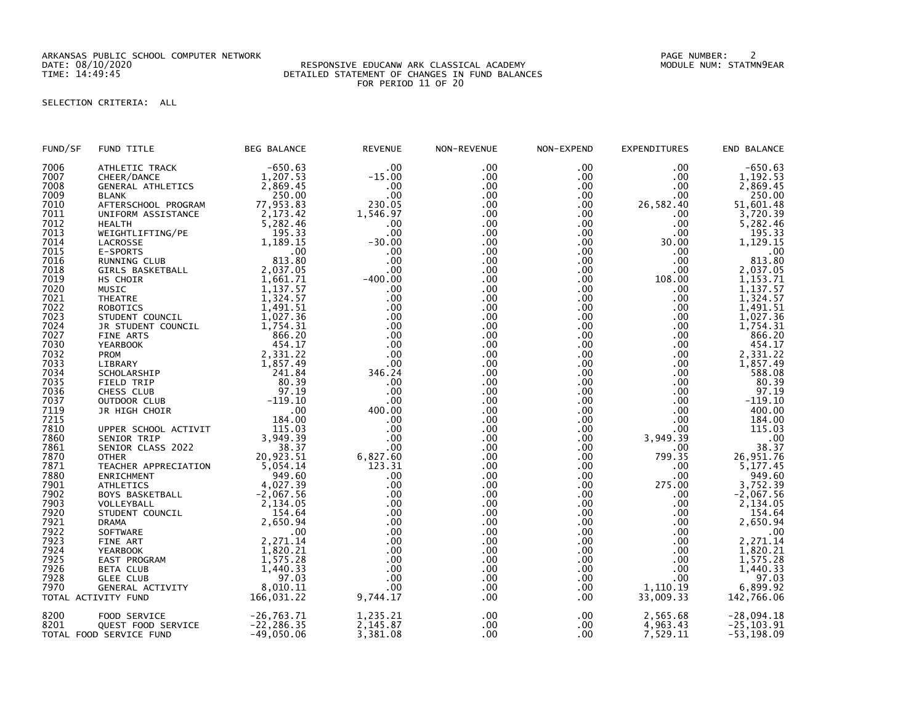ARKANSAS PUBLIC SCHOOL COMPUTER NETWORK PAGE NUMBER: 2

## DATE: 08/10/2020 RESPONSIVE EDUCANW ARK CLASSICAL ACADEMY MODULE NUM: STATMN9EAR TIME: 14:49:45 DETAILED STATEMENT OF CHANGES IN FUND BALANCES FOR PERIOD 11 OF 20

## SELECTION CRITERIA: ALL

| FUND/SF | FUND TITLE               | <b>BEG BALANCE</b> | <b>REVENUE</b> | NON-REVENUE      | NON-EXPEND | <b>EXPENDITURES</b> | END BALANCE   |
|---------|--------------------------|--------------------|----------------|------------------|------------|---------------------|---------------|
| 7006    | ATHLETIC TRACK           | $-650.63$          | .00            | .00              | .00        | .00.                | $-650.63$     |
| 7007    | CHEER/DANCE              | 1,207.53           | $-15.00$       | $.00 \,$         | $.00 \,$   | .00                 | 1,192.53      |
| 7008    | <b>GENERAL ATHLETICS</b> | 2,869.45           | .00            | .00 <sub>1</sub> | $.00 \,$   | .00                 | 2,869.45      |
| 7009    | <b>BLANK</b>             | 250.00             | .00            | $.00 \,$         | $.00 \,$   | .00                 | 250.00        |
| 7010    | AFTERSCHOOL PROGRAM      | 77,953.83          | 230.05         | $.00 \,$         | $.00 \,$   | 26,582.40           | 51,601.48     |
| 7011    | UNIFORM ASSISTANCE       | 2, 173.42          | 1,546.97       | $.00 \,$         | .00        | .00.                | 3,720.39      |
| 7012    | <b>HEALTH</b>            | 5,282.46           | .00            | $.00 \,$         | $.00 \,$   | $.00 \,$            | 5,282.46      |
| 7013    | WEIGHTLIFTING/PE         | 195.33             | .00            | $.00 \,$         | $.00 \,$   | .00                 | 195.33        |
| 7014    | LACROSSE                 | 1,189.15           | $-30.00$       | .00              | $.00 \,$   | 30.00               | 1,129.15      |
| 7015    |                          | .00                | .00            | .00 <sub>1</sub> |            |                     |               |
|         | E-SPORTS                 |                    |                |                  | $.00 \,$   | .00                 | .00           |
| 7016    | RUNNING CLUB             | 813.80             | .00            | $.00 \,$         | $.00 \,$   | .00.                | 813.80        |
| 7018    | GIRLS BASKETBALL         | 2,037.05           | .00            | .00              | $.00 \,$   | .00                 | 2,037.05      |
| 7019    | HS CHOIR                 | 1,661.71           | $-400.00$      | .00              | .00        | 108.00              | 1,153.71      |
| 7020    | MUSIC                    | 1,137.57           | .00            | $.00 \,$         | $.00 \,$   | .00                 | 1,137.57      |
| 7021    | <b>THEATRE</b>           | 1,324.57           | .00            | .00 <sub>1</sub> | $.00 \,$   | .00                 | 1,324.57      |
| 7022    | ROBOTICS                 | 1,491.51           | .00            | $.00 \,$         | $.00 \,$   | .00                 | 1,491.51      |
| 7023    | STUDENT COUNCIL          | 1,027.36           | .00            | $.00 \,$         | $.00 \,$   | $.00 \,$            | 1,027.36      |
| 7024    | JR STUDENT COUNCIL       | 1,754.31           | .00            | .00 <sub>1</sub> | .00        | $.00 \,$            | 1,754.31      |
| 7027    | FINE ARTS                | 866.20             | .00            | $.00 \,$         | $.00 \,$   | $.00 \,$            | 866.20        |
| 7030    | <b>YEARBOOK</b>          | 454.17             | .00            | $.00 \,$         | $.00 \,$   | $.00 \,$            | 454.17        |
| 7032    | <b>PROM</b>              | 2,331.22           | .00            | .00              | .00        | .00                 | 2,331.22      |
| 7033    | LIBRARY                  | 1,857.49           | .00            | .00 <sub>1</sub> | .00        | $.00 \,$            | 1,857.49      |
| 7034    | SCHOLARSHIP              | 241.84             | 346.24         | $.00 \,$         | $.00 \,$   | $.00 \,$            | 588.08        |
| 7035    | FIELD TRIP               | 80.39              | .00            | .00              | .00        | .00                 | 80.39         |
| 7036    | CHESS CLUB               | 97.19              | .00            | .00              | $.00 \,$   | $.00 \,$            | 97.19         |
| 7037    | OUTDOOR CLUB             | $-119.10$          | .00            | $.00 \,$         | $.00 \,$   | .00                 | $-119.10$     |
| 7119    |                          | .00                | 400.00         | $.00 \,$         | $.00 \,$   | .00                 | 400.00        |
|         | JR HIGH CHOIR            |                    | .00            | $.00 \,$         | $.00 \,$   | .00                 | 184.00        |
| 7215    |                          | 184.00             |                |                  |            |                     |               |
| 7810    | UPPER SCHOOL ACTIVIT     | 115.03             | .00            | $.00 \,$         | $.00 \,$   | .00                 | 115.03        |
| 7860    | SENIOR TRIP              | 3,949.39           | .00            | .00              | $.00 \,$   | 3,949.39            | .00           |
| 7861    | SENIOR CLASS 2022        | 38.37              | .00            | $.00 \,$         | $.00 \,$   | $.00 \,$            | 38.37         |
| 7870    | <b>OTHER</b>             | 20,923.51          | 6,827.60       | $.00 \,$         | $.00 \,$   | 799.35              | 26,951.76     |
| 7871    | TEACHER APPRECIATION     | 5,054.14           | 123.31         | $.00 \,$         | $.00 \,$   | .00                 | 5,177.45      |
| 7880    | ENRICHMENT               | 949.60             | .00            | .00 <sub>1</sub> | $.00 \,$   | .00                 | 949.60        |
| 7901    | <b>ATHLETICS</b>         | 4,027.39           | .00            | $.00 \,$         | $.00 \,$   | 275.00              | 3,752.39      |
| 7902    | BOYS BASKETBALL          | $-2,067.56$        | .00            | $.00 \,$         | $.00 \,$   | $.00 \,$            | $-2,067.56$   |
| 7903    | VOLLEYBALL               | 2,134.05           | .00            | .00              | .00        | $.00 \,$            | 2,134.05      |
| 7920    | STUDENT COUNCIL          | 154.64             | .00            | $.00 \,$         | $.00 \,$   | .00                 | 154.64        |
| 7921    | <b>DRAMA</b>             | 2,650.94           | .00            | .00              | $.00 \,$   | .00                 | 2,650.94      |
| 7922    | SOFTWARE                 | .00                | .00            | $.00 \,$         | $.00 \,$   | $.00 \,$            | .00           |
| 7923    | FINE ART                 | 2,271.14           | .00            | $.00 \,$         | $.00 \,$   | .00                 | 2,271.14      |
| 7924    | <b>YEARBOOK</b>          | 1,820.21           | .00            | .00              | $.00 \,$   | .00                 | 1,820.21      |
| 7925    | EAST PROGRAM             | 1,575.28           | .00            | $.00 \,$         | $.00 \,$   | $.00 \,$            | 1,575.28      |
| 7926    | <b>BETA CLUB</b>         | 1,440.33           | .00            | $.00 \,$         | $.00 \,$   | .00                 | 1,440.33      |
| 7928    | <b>GLEE CLUB</b>         | 97.03              | .00            | .00              | .00        | .00                 | 97.03         |
| 7970    | GENERAL ACTIVITY         | 8,010.11           | .00            | .00 <sub>1</sub> | $.00 \,$   | 1,110.19            | 6,899.92      |
|         | TOTAL ACTIVITY FUND      | 166,031.22         | 9,744.17       | .00              | $.00 \,$   | 33,009.33           | 142,766.06    |
|         |                          |                    |                |                  |            |                     |               |
| 8200    | FOOD SERVICE             | $-26, 763.71$      | 1,235.21       | .00              | $.00 \,$   | 2,565.68            | $-28,094.18$  |
| 8201    | QUEST FOOD SERVICE       | $-22, 286.35$      | 2,145.87       | .00              | $.00 \,$   | 4,963.43            | $-25, 103.91$ |
|         | TOTAL FOOD SERVICE FUND  | $-49,050.06$       | 3,381.08       | .00              | $.00 \,$   | 7,529.11            | $-53, 198.09$ |
|         |                          |                    |                |                  |            |                     |               |